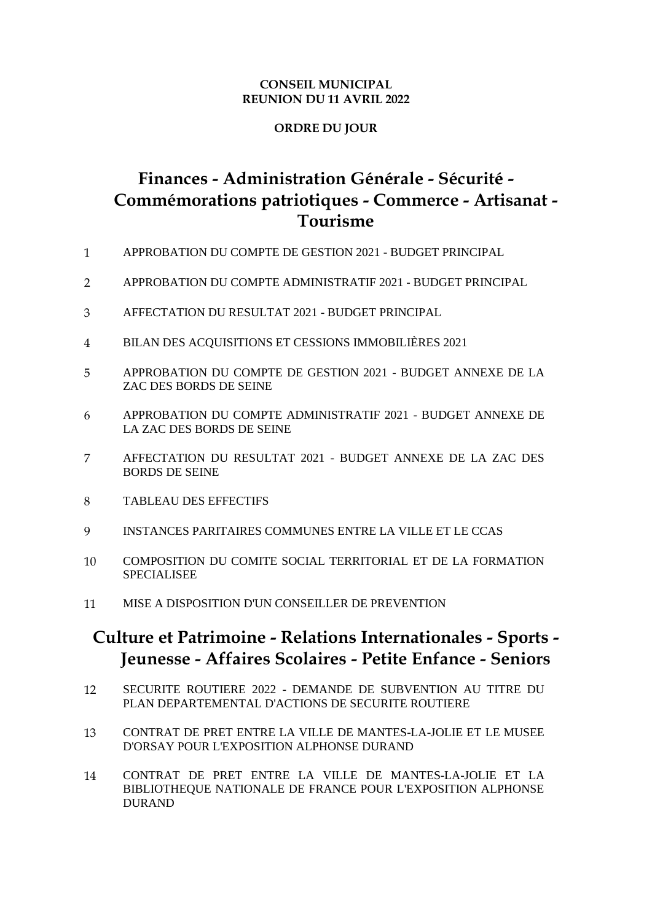#### **CONSEIL MUNICIPAL REUNION DU 11 AVRIL 2022**

#### **ORDRE DU JOUR**

# **Finances - Administration Générale - Sécurité - Commémorations patriotiques - Commerce - Artisanat - Tourisme**

- 1 APPROBATION DU COMPTE DE GESTION 2021 BUDGET PRINCIPAL
- 2 APPROBATION DU COMPTE ADMINISTRATIF 2021 BUDGET PRINCIPAL
- 3 AFFECTATION DU RESULTAT 2021 BUDGET PRINCIPAL
- 4 BILAN DES ACQUISITIONS ET CESSIONS IMMOBILIÈRES 2021
- 5 APPROBATION DU COMPTE DE GESTION 2021 BUDGET ANNEXE DE LA ZAC DES BORDS DE SEINE
- 6 APPROBATION DU COMPTE ADMINISTRATIF 2021 BUDGET ANNEXE DE LA ZAC DES BORDS DE SEINE
- 7 AFFECTATION DU RESULTAT 2021 BUDGET ANNEXE DE LA ZAC DES BORDS DE SEINE
- 8 TABLEAU DES EFFECTIFS
- 9 INSTANCES PARITAIRES COMMUNES ENTRE LA VILLE ET LE CCAS
- 10 COMPOSITION DU COMITE SOCIAL TERRITORIAL ET DE LA FORMATION SPECIALISEE
- 11 MISE A DISPOSITION D'UN CONSEILLER DE PREVENTION

## **Culture et Patrimoine - Relations Internationales - Sports - Jeunesse - Affaires Scolaires - Petite Enfance - Seniors**

- 12 SECURITE ROUTIERE 2022 DEMANDE DE SUBVENTION AU TITRE DU PLAN DEPARTEMENTAL D'ACTIONS DE SECURITE ROUTIERE
- 13 CONTRAT DE PRET ENTRE LA VILLE DE MANTES-LA-JOLIE ET LE MUSEE D'ORSAY POUR L'EXPOSITION ALPHONSE DURAND
- 14 CONTRAT DE PRET ENTRE LA VILLE DE MANTES-LA-JOLIE ET LA BIBLIOTHEQUE NATIONALE DE FRANCE POUR L'EXPOSITION ALPHONSE DURAND